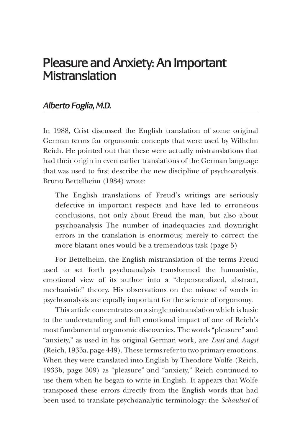## Pleasure and Anxiety: An Important **Mistranslation**

## *Alberto Foglia, M.D.*

In 1988, Crist discussed the English translation of some original German terms for orgonomic concepts that were used by Wilhelm Reich. He pointed out that these were actually mistranslations that had their origin in even earlier translations of the German language that was used to first describe the new discipline of psychoanalysis. Bruno Bettelheim (1984) wrote:

The English translations of Freud's writings are seriously defective in important respects and have led to erroneous conclusions, not only about Freud the man, but also about psychoanalysis The number of inadequacies and downright errors in the translation is enormous; merely to correct the more blatant ones would be a tremendous task (page 5)

For Bettelheim, the English mistranslation of the terms Freud used to set forth psychoanalysis transformed the humanistic, emotional view of its author into a "depersonalized, abstract, mechanistic" theory. His observations on the misuse of words in psychoanalysis are equally important for the science of orgonomy.

This article concentrates on a single mistranslation which is basic to the understanding and full emotional impact of one of Reich's most fundamental orgonomic discoveries. The words "pleasure" and "anxiety," as used in his original German work, are *Lust* and *Angst*  (Reich, 1933a, page 449). These terms refer to two primary emotions. When they were translated into English by Theodore Wolfe (Reich, 1933b, page 309) as "pleasure" and "anxiety," Reich continued to use them when he began to write in English. It appears that Wolfe transposed these errors directly from the English words that had been used to translate psychoanalytic terminology: the *Schaulust* of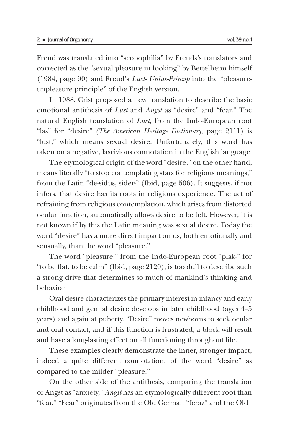Freud was translated into "scopophilia" by Freuds's translators and corrected as the "sexual pleasure in looking" by Bettelheim himself (1984, page 90) and Freud's *Lust- Unlus-Prinzip* into the "pleasureunpleasure principle" of the English version.

In 1988, Crist proposed a new translation to describe the basic emotional antithesis of *Lust* and *Angst* as "desire" and "fear." The natural English translation of *Lust,* from the Indo-European root "las" for "desire" *(The American Heritage Dictionary,* page 2111) is "lust," which means sexual desire. Unfortunately, this word has taken on a negative, lascivious connotation in the English language.

The etymological origin of the word "desire," on the other hand, means literally "to stop contemplating stars for religious meanings," from the Latin "de-sidus, sider-" (Ibid, page 506). It suggests, if not infers, that desire has its roots in religious experience. The act of refraining from religious contemplation, which arises from distorted ocular function, automatically allows desire to be felt. However, it is not known if by this the Latin meaning was sexual desire. Today the word "desire" has a more direct impact on us, both emotionally and sensually, than the word "pleasure."

The word "pleasure," from the Indo-European root "plak-" for "to be flat, to be calm" (Ibid, page 2120), is too dull to describe such a strong drive that determines so much of mankind's thinking and behavior.

Oral desire characterizes the primary interest in infancy and early childhood and genital desire develops in later childhood (ages 4–5 years) and again at puberty. "Desire" moves newborns to seek ocular and oral contact, and if this function is frustrated, a block will result and have a long-lasting effect on all functioning throughout life.

These examples clearly demonstrate the inner, stronger impact, indeed a quite different connotation, of the word "desire" as compared to the milder "pleasure."

On the other side of the antithesis, comparing the translation of Angst as "anxiety," *Angst* has an etymologically different root than "fear." "Fear" originates from the Old German "feraz" and the Old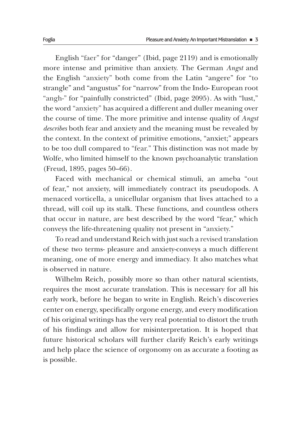English "faer" for "danger" (Ibid, page 2119) and is emotionally more intense and primitive than anxiety. The German *Angst* and the English "anxiety" both come from the Latin "angere" for "to strangle" and "angustus" for "narrow" from the Indo- European root "angh-" for "painfully constricted" (Ibid, page 2095). As with "lust," the word "anxiety" has acquired a different and duller meaning over the course of time. The more primitive and intense quality of *Angst describes* both fear and anxiety and the meaning must be revealed by the context. In the context of primitive emotions, "anxiet;" appears to be too dull compared to "fear." This distinction was not made by Wolfe, who limited himself to the known psychoanalytic translation (Freud, 1895, pages 50–66).

Faced with mechanical or chemical stimuli, an ameba "out of fear," not anxiety, will immediately contract its pseudopods. A menaced vorticella, a unicellular organism that lives attached to a thread, will coil up its stalk. These functions, and countless others that occur in nature, are best described by the word "fear," which conveys the life-threatening quality not present in "anxiety."

To read and understand Reich with just such a revised translation of these two terms- pleasure and anxiety-conveys a much different meaning, one of more energy and immediacy. It also matches what is observed in nature.

Wilhelm Reich, possibly more so than other natural scientists, requires the most accurate translation. This is necessary for all his early work, before he began to write in English. Reich's discoveries center on energy, specifically orgone energy, and every modification of his original writings has the very real potential to distort the truth of his findings and allow for misinterpretation. It is hoped that future historical scholars will further clarify Reich's early writings and help place the science of orgonomy on as accurate a footing as is possible.